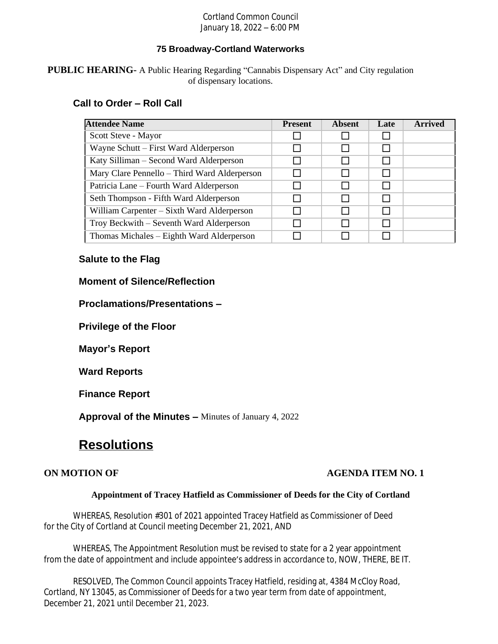### Cortland Common Council January 18, 2022 – 6:00 PM

## **75 Broadway-Cortland Waterworks**

**PUBLIC HEARING-** A Public Hearing Regarding "Cannabis Dispensary Act" and City regulation of dispensary locations.

# **Call to Order – Roll Call**

| <b>Attendee Name</b>                         | <b>Present</b> | <b>Absent</b> | Late | <b>Arrived</b> |
|----------------------------------------------|----------------|---------------|------|----------------|
| Scott Steve - Mayor                          |                |               |      |                |
| Wayne Schutt – First Ward Alderperson        |                |               |      |                |
| Katy Silliman – Second Ward Alderperson      |                |               |      |                |
| Mary Clare Pennello – Third Ward Alderperson |                |               |      |                |
| Patricia Lane – Fourth Ward Alderperson      |                |               |      |                |
| Seth Thompson - Fifth Ward Alderperson       |                |               |      |                |
| William Carpenter – Sixth Ward Alderperson   |                |               |      |                |
| Troy Beckwith – Seventh Ward Alderperson     |                |               |      |                |
| Thomas Michales – Eighth Ward Alderperson    |                |               |      |                |

# **Salute to the Flag**

# **Moment of Silence/Reflection**

**Proclamations/Presentations –**

**Privilege of the Floor**

**Mayor's Report**

**Ward Reports**

**Finance Report**

**Approval of the Minutes –** Minutes of January 4, 2022

# **Resolutions**

# **ON MOTION OF AGENDA ITEM NO. 1**

#### **Appointment of Tracey Hatfield as Commissioner of Deeds for the City of Cortland**

WHEREAS, Resolution #301 of 2021 appointed Tracey Hatfield as Commissioner of Deed for the City of Cortland at Council meeting December 21, 2021, AND

WHEREAS, The Appointment Resolution must be revised to state for a 2 year appointment from the date of appointment and include appointee's address in accordance to, NOW, THERE, BE IT.

RESOLVED, The Common Council appoints Tracey Hatfield, residing at, 4384 McCloy Road, Cortland, NY 13045, as Commissioner of Deeds for a two year term from date of appointment, December 21, 2021 until December 21, 2023.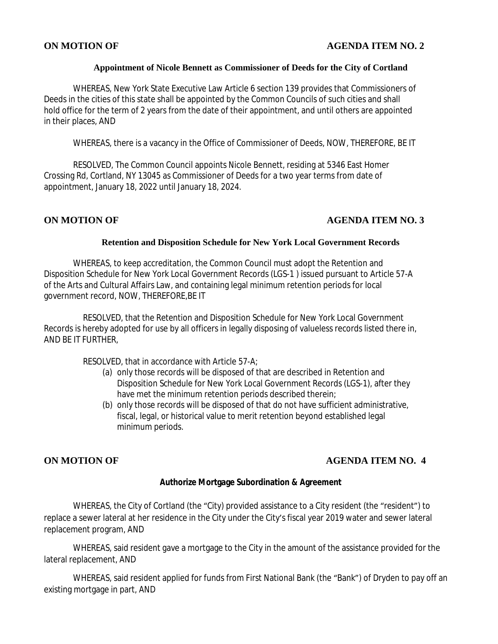# **ON MOTION OF AGENDA ITEM NO. 2**

### **Appointment of Nicole Bennett as Commissioner of Deeds for the City of Cortland**

WHEREAS, New York State Executive Law Article 6 section 139 provides that Commissioners of Deeds in the cities of this state shall be appointed by the Common Councils of such cities and shall hold office for the term of 2 years from the date of their appointment, and until others are appointed in their places, AND

WHEREAS, there is a vacancy in the Office of Commissioner of Deeds, NOW, THEREFORE, BE IT

RESOLVED, The Common Council appoints Nicole Bennett, residing at 5346 East Homer Crossing Rd, Cortland, NY 13045 as Commissioner of Deeds for a two year terms from date of appointment, January 18, 2022 until January 18, 2024.

# **ON MOTION OF AGENDA ITEM NO. 3**

#### **Retention and Disposition Schedule for New York Local Government Records**

WHEREAS, to keep accreditation, the Common Council must adopt the Retention and Disposition Schedule for New York Local Government Records (LGS-1 ) issued pursuant to Article 57-A of the Arts and Cultural Affairs Law, and containing legal minimum retention periods for local government record, NOW, THEREFORE,BE IT

RESOLVED, that the Retention and Disposition Schedule for New York Local Government Records is hereby adopted for use by all officers in legally disposing of valueless records listed there in, AND BE IT FURTHER,

RESOLVED, that in accordance with Article 57-A;

- (a) only those records will be disposed of that are described in Retention and Disposition Schedule for New York Local Government Records (LGS-1), after they have met the minimum retention periods described therein;
- (b) only those records will be disposed of that do not have sufficient administrative, fiscal, legal, or historical value to merit retention beyond established legal minimum periods.

# **ON MOTION OF AGENDA ITEM NO. 4**

### **Authorize Mortgage Subordination & Agreement**

WHEREAS, the City of Cortland (the "City) provided assistance to a City resident (the "resident") to replace a sewer lateral at her residence in the City under the City's fiscal year 2019 water and sewer lateral replacement program, AND

WHEREAS, said resident gave a mortgage to the City in the amount of the assistance provided for the lateral replacement, AND

WHEREAS, said resident applied for funds from First National Bank (the "Bank") of Dryden to pay off an existing mortgage in part, AND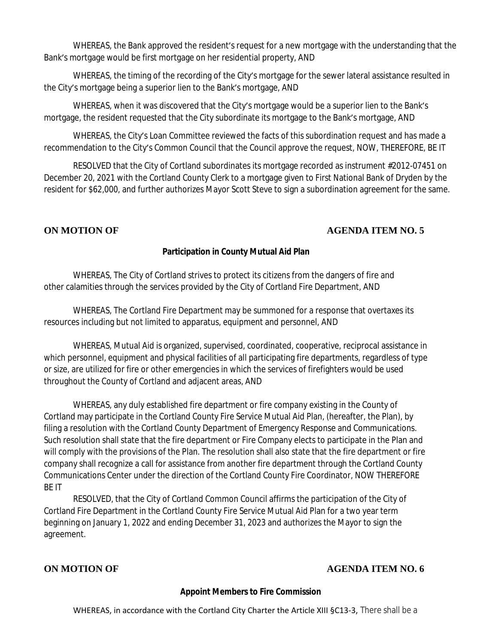WHEREAS, the Bank approved the resident's request for a new mortgage with the understanding that the Bank's mortgage would be first mortgage on her residential property, AND

WHEREAS, the timing of the recording of the City's mortgage for the sewer lateral assistance resulted in the City's mortgage being a superior lien to the Bank's mortgage, AND

WHEREAS, when it was discovered that the City's mortgage would be a superior lien to the Bank's mortgage, the resident requested that the City subordinate its mortgage to the Bank's mortgage, AND

WHEREAS, the City's Loan Committee reviewed the facts of this subordination request and has made a recommendation to the City's Common Council that the Council approve the request, NOW, THEREFORE, BE IT

RESOLVED that the City of Cortland subordinates its mortgage recorded as instrument #2012-07451 on December 20, 2021 with the Cortland County Clerk to a mortgage given to First National Bank of Dryden by the resident for \$62,000, and further authorizes Mayor Scott Steve to sign a subordination agreement for the same.

# **ON MOTION OF AGENDA ITEM NO. 5**

# **Participation in County Mutual Aid Plan**

WHEREAS, The City of Cortland strives to protect its citizens from the dangers of fire and other calamities through the services provided by the City of Cortland Fire Department, AND

WHEREAS, The Cortland Fire Department may be summoned for a response that overtaxes its resources including but not limited to apparatus, equipment and personnel, AND

WHEREAS, Mutual Aid is organized, supervised, coordinated, cooperative, reciprocal assistance in which personnel, equipment and physical facilities of all participating fire departments, regardless of type or size, are utilized for fire or other emergencies in which the services of firefighters would be used throughout the County of Cortland and adjacent areas, AND

WHEREAS, any duly established fire department or fire company existing in the County of Cortland may participate in the Cortland County Fire Service Mutual Aid Plan, (hereafter, the Plan), by filing a resolution with the Cortland County Department of Emergency Response and Communications. Such resolution shall state that the fire department or Fire Company elects to participate in the Plan and will comply with the provisions of the Plan. The resolution shall also state that the fire department or fire company shall recognize a call for assistance from another fire department through the Cortland County Communications Center under the direction of the Cortland County Fire Coordinator, NOW THEREFORE BE IT

RESOLVED, that the City of Cortland Common Council affirms the participation of the City of Cortland Fire Department in the Cortland County Fire Service Mutual Aid Plan for a two year term beginning on January 1, 2022 and ending December 31, 2023 and authorizes the Mayor to sign the agreement.

# **ON MOTION OF AGENDA ITEM NO. 6**

#### **Appoint Members to Fire Commission**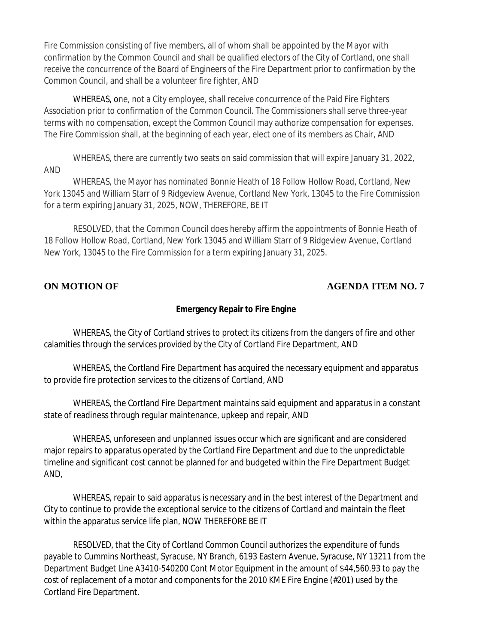Fire Commission consisting of five members, all of whom shall be appointed by the Mayor with confirmation by the Common Council and shall be qualified electors of the City of Cortland, one shall receive the concurrence of the Board of Engineers of the Fire Department prior to confirmation by the Common Council, and shall be a volunteer fire fighter, AND

WHEREAS, one, not a City employee, shall receive concurrence of the Paid Fire Fighters Association prior to confirmation of the Common Council. The Commissioners shall serve three-year terms with no compensation, except the Common Council may authorize compensation for expenses. The Fire Commission shall, at the beginning of each year, elect one of its members as Chair, AND

WHEREAS, there are currently two seats on said commission that will expire January 31, 2022, AND

WHEREAS, the Mayor has nominated Bonnie Heath of 18 Follow Hollow Road, Cortland, New York 13045 and William Starr of 9 Ridgeview Avenue, Cortland New York, 13045 to the Fire Commission for a term expiring January 31, 2025, NOW, THEREFORE, BE IT

RESOLVED, that the Common Council does hereby affirm the appointments of Bonnie Heath of 18 Follow Hollow Road, Cortland, New York 13045 and William Starr of 9 Ridgeview Avenue, Cortland New York, 13045 to the Fire Commission for a term expiring January 31, 2025.

# **ON MOTION OF AGENDA ITEM NO. 7**

# **Emergency Repair to Fire Engine**

WHEREAS, the City of Cortland strives to protect its citizens from the dangers of fire and other calamities through the services provided by the City of Cortland Fire Department, AND

WHEREAS, the Cortland Fire Department has acquired the necessary equipment and apparatus to provide fire protection services to the citizens of Cortland, AND

WHEREAS, the Cortland Fire Department maintains said equipment and apparatus in a constant state of readiness through regular maintenance, upkeep and repair, AND

WHEREAS, unforeseen and unplanned issues occur which are significant and are considered major repairs to apparatus operated by the Cortland Fire Department and due to the unpredictable timeline and significant cost cannot be planned for and budgeted within the Fire Department Budget AND,

WHEREAS, repair to said apparatus is necessary and in the best interest of the Department and City to continue to provide the exceptional service to the citizens of Cortland and maintain the fleet within the apparatus service life plan, NOW THEREFORE BE IT

RESOLVED, that the City of Cortland Common Council authorizes the expenditure of funds payable to Cummins Northeast, Syracuse, NY Branch, 6193 Eastern Avenue, Syracuse, NY 13211 from the Department Budget Line A3410-540200 Cont Motor Equipment in the amount of \$44,560.93 to pay the cost of replacement of a motor and components for the 2010 KME Fire Engine (#201) used by the Cortland Fire Department.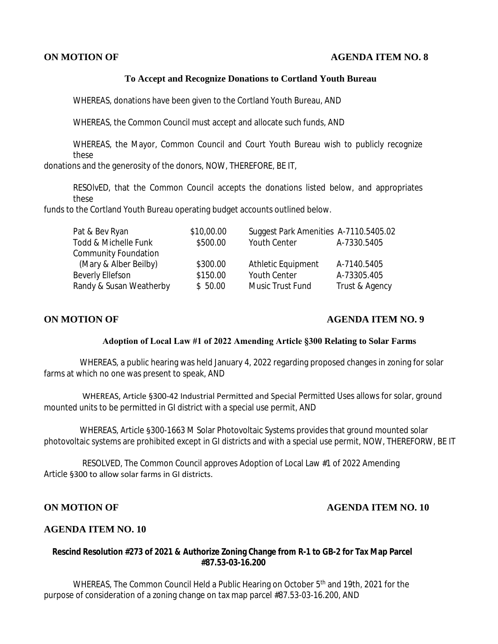### **ON MOTION OF AGENDA ITEM NO. 8**

### **To Accept and Recognize Donations to Cortland Youth Bureau**

WHEREAS, donations have been given to the Cortland Youth Bureau, AND

WHEREAS, the Common Council must accept and allocate such funds, AND

WHEREAS, the Mayor, Common Council and Court Youth Bureau wish to publicly recognize these

donations and the generosity of the donors, NOW, THEREFORE, BE IT,

RESOlvED, that the Common Council accepts the donations listed below, and appropriates these

funds to the Cortland Youth Bureau operating budget accounts outlined below.

| Pat & Bev Ryan              | \$10,00.00 | Suggest Park Amenities A-7110.5405.02 |                |
|-----------------------------|------------|---------------------------------------|----------------|
| Todd & Michelle Funk        | \$500.00   | Youth Center                          | A-7330.5405    |
| <b>Community Foundation</b> |            |                                       |                |
| (Mary & Alber Beilby)       | \$300.00   | Athletic Equipment                    | A-7140.5405    |
| Beverly Ellefson            | \$150.00   | <b>Youth Center</b>                   | A-73305.405    |
| Randy & Susan Weatherby     | \$50.00    | Music Trust Fund                      | Trust & Agency |

# **ON MOTION OF AGENDA ITEM NO. 9**

#### **Adoption of Local Law #1 of 2022 Amending Article §300 Relating to Solar Farms**

 WHEREAS, a public hearing was held January 4, 2022 regarding proposed changes in zoning for solar farms at which no one was present to speak, AND

WHEREAS, Article §300-42 Industrial Permitted and Special Permitted Uses allows for solar, ground mounted units to be permitted in GI district with a special use permit, AND

WHEREAS, Article §300-1663 M Solar Photovoltaic Systems provides that ground mounted solar photovoltaic systems are prohibited except in GI districts and with a special use permit, NOW, THEREFORW, BE IT

RESOLVED, The Common Council approves Adoption of Local Law #1 of 2022 Amending Article §300 to allow solar farms in GI districts.

### **ON MOTION OF AGENDA ITEM NO. 10**

#### **AGENDA ITEM NO. 10**

### **Rescind Resolution #273 of 2021 & Authorize Zoning Change from R-1 to GB-2 for Tax Map Parcel #87.53-03-16.200**

WHEREAS, The Common Council Held a Public Hearing on October 5<sup>th</sup> and 19th, 2021 for the purpose of consideration of a zoning change on tax map parcel #87.53-03-16.200, AND